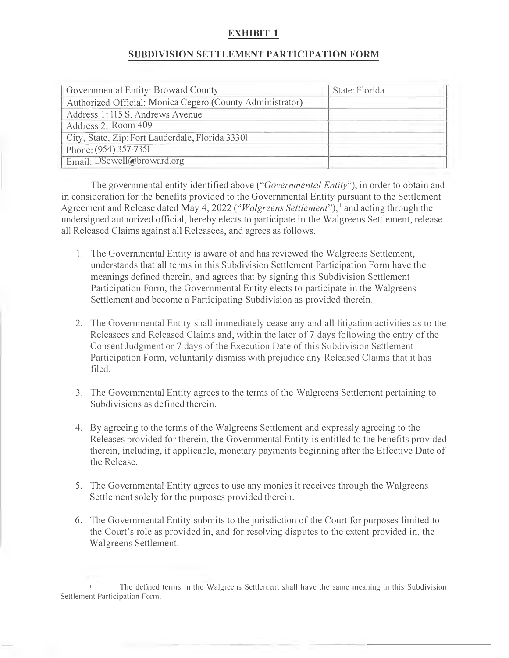## **EXHIBIT 1**

## **SUBDIVISION SETTLEMENT PARTICIPATION FORM**

| Governmental Entity: Broward County                       | State: Florida |
|-----------------------------------------------------------|----------------|
| Authorized Official: Monica Cepero (County Administrator) |                |
| Address 1:115 S. Andrews Avenue                           |                |
| Address 2: Room 409                                       |                |
| City, State, Zip: Fort Lauderdale, Florida 33301          |                |
| Phone: (954) 357-7351                                     |                |
| Email: DSewell@broward.org                                |                |

The governmental entity identified above *("Governmental Entity"),* in order to obtain and in consideration for the benefits provided to the Governmental Entity pursuant to the Settlement Agreement and Release dated May 4, 2022 *("Walgreens Settlement"),* <sup>1</sup>and acting through the undersigned authorized official, hereby elects to participate in the Walgreens Settlement, release all Released Claims against all Releasees, and agrees as follows.

- 1. The Governmental Entity is aware of and has reviewed the Walgreens Settlement, understands that all terms in this Subdivision Settlement Participation Form have the meanings defined therein, and agrees that by signing this Subdivision Settlement Participation Form, the Governmental Entity elects to participate in the Walgreens Settlement and become a Participating Subdivision as provided therein.
- 2. The Governmental Entity shall immediately cease any and all litigation activities as to the Releasees and Released Claims and, within the later of 7 days following the entry of the Consent Judgment or 7 days of the Execution Date of this Subdivision Settlement Participation Form, voluntarily dismiss with prejudice any Released Claims that it has filed.
- 3. The Governmental Entity agrees to the terms of the Walgreens Settlement pertaining to Subdivisions as defined therein.
- 4. By agreeing to the terms of the Walgreens Settlement and expressly agreeing to the Releases provided for therein, the Governmental Entity is entitled to the benefits provided therein, including, if applicable, monetary payments beginning after the Effective Date of the Release.
- 5. The Governmental Entity agrees to use any monies it receives through the Walgreens Settlement solely for the purposes provided therein.
- 6. The Governmental Entity submits to the jurisdiction of the Court for purposes limited to the Court's role as provided in, and for resolving disputes to the extent provided in, the Walgreens Settlement.

The defined terms in the Walgreens Settlement shall have the same meaning in this Subdivision Settlement Participation Form.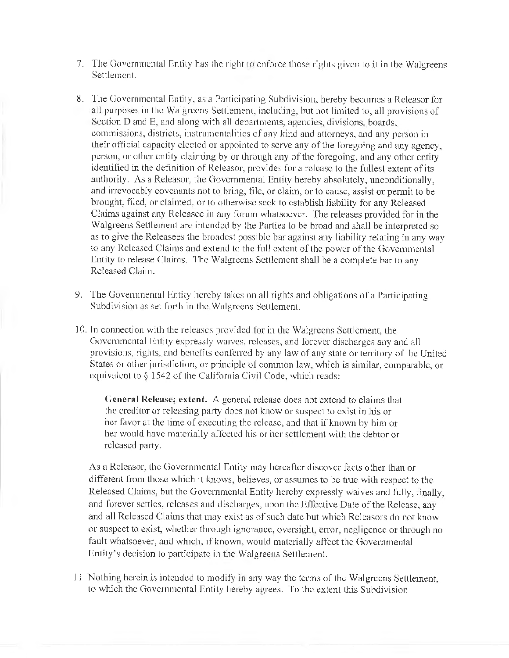- 7. The Governmental Entity has the right to enforce those rights given to it in the Walgreens Settlement.
- 8. The Governmental Entity, as a Participating Subdivision, hereby becomes a Rcleasor for all purposes in the Walgrccns Settlement, including, hut not limited lo, all provisions of Section D and E, and along with all departments, agencies, divisions, boards, commissions, districts, instrumentalities of 8ny kind and altorneys, and any person in their official capacity elected or appointed to serve any of the foregoing and any agency, person, or other entity claiming by or through any of the foregoing, and any other entity identified in the definition of Releasor, provides for a release to the fullest extent of its authority. As a Releasor, the Governmental Entity hereby absolutely, unconditionally, and irrevocably covenants not to bring, file, or claim, or to cause, assist or permit to be brought, filed, or claimed, or to otherwise seek to establish liability for any Released Claims against any Rcleasec in any forum whatsoever. The releases provided for in the Walgreens Settlement arc intended by the Parties to he broad and shall be interpreted so as to give the Releasees the broadest possible bar against any liability relating in any way to any Released Claims and extend to the full extent of the power of the Governmental Entity to release Claims. The Walgreens Settlement shall be a complete bar to any Released Claim.
- 9. The Governmental Entity hereby takes on all rights and obligations of a Participating Subdivision as set forth in the Walgreens Settlement.
- 10. In connection with the releases provided for in the Walgreens Settlement, the Governmental Entity expressly waives, releases, and forever discharges any and all provisions, rights, and benefits conferred by any law of any state or territory ofthe United States or other jurisdiction, or principle of common law, which is similar, comparable, or equivalent to  $\S 1542$  of the California Civil Code, which reads:

General Release; extent. A general release does not extend to claims that the creditor or releasing party does not know or suspect to exist in his or her favor at the time of executing the release, and that if known by him or her would have materially allecled his or her settlement with the debtor or released party.

As a Releasor, Lhe Governmental Entity may hereafter discover facts other than or different from those which it knows, believes, or assumes to be true with respect to the Released Claims, but the Governmental Entity hereby expressly waives and fully, finally, and forever settles, releases and discharges, upon the Effective Date of the Release, any and all Released Claims that may exist as of such date but which Releasors do not know or suspect to exist, whether through ignorance, oversight, error, negligence or through no fault whatsoever, and which, if known, would materially affect the Governmental Entity's decision to participate in the Walgreens Settlement.

11. Nothing herein is intended to modify in any way the terms of the Walgreens Settlement, to which the Governmental Entity hereby agrees. To the extent this Subdivision